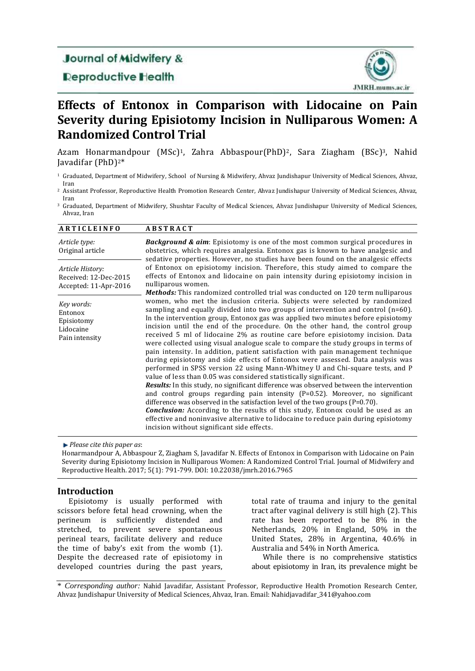## **Journal of Midwifery &**

## **Deproductive Health**



# **Effects of Entonox in Comparison with Lidocaine on Pain Severity during Episiotomy Incision in Nulliparous Women: A Randomized Control Trial**

Azam Honarmandpour (MSc)<sup>1</sup>, Zahra Abbaspour(PhD)<sup>2</sup>, Sara Ziagham (BSc)<sup>3</sup>, Nahid Javadifar (PhD)2\*

- <sup>1</sup> Graduated, Department of Midwifery, School of Nursing & Midwifery, Ahvaz Jundishapur University of Medical Sciences, Ahvaz, Iran
- <sup>2</sup> Assistant Professor, Reproductive Health Promotion Research Center, Ahvaz Jundishapur University of Medical Sciences, Ahvaz, Iran
- <sup>3</sup> Graduated, Department of Midwifery, Shushtar Faculty of Medical Sciences, Ahvaz Jundishapur University of Medical Sciences, Ahvaz, Iran

| <b>ARTICLEINFO</b>                                                 | <b>ABSTRACT</b>                                                                                                                                                                                                                                                                                                                                                                                                                                                                                                                                                                                                                                                                                                                                                                                                                                                                                                                                                                                                                                                                                                                                                                                                                                                                                                                                                                                                                                 |  |
|--------------------------------------------------------------------|-------------------------------------------------------------------------------------------------------------------------------------------------------------------------------------------------------------------------------------------------------------------------------------------------------------------------------------------------------------------------------------------------------------------------------------------------------------------------------------------------------------------------------------------------------------------------------------------------------------------------------------------------------------------------------------------------------------------------------------------------------------------------------------------------------------------------------------------------------------------------------------------------------------------------------------------------------------------------------------------------------------------------------------------------------------------------------------------------------------------------------------------------------------------------------------------------------------------------------------------------------------------------------------------------------------------------------------------------------------------------------------------------------------------------------------------------|--|
| Article type:<br>Original article                                  | <b>Background &amp; aim:</b> Episiotomy is one of the most common surgical procedures in<br>obstetrics, which requires analgesia. Entonox gas is known to have analgesic and<br>sedative properties. However, no studies have been found on the analgesic effects                                                                                                                                                                                                                                                                                                                                                                                                                                                                                                                                                                                                                                                                                                                                                                                                                                                                                                                                                                                                                                                                                                                                                                               |  |
| Article History:<br>Received: 12-Dec-2015<br>Accepted: 11-Apr-2016 | of Entonox on episiotomy incision. Therefore, this study aimed to compare the<br>effects of Entonox and lidocaine on pain intensity during episiotomy incision in<br>nulliparous women.                                                                                                                                                                                                                                                                                                                                                                                                                                                                                                                                                                                                                                                                                                                                                                                                                                                                                                                                                                                                                                                                                                                                                                                                                                                         |  |
| Key words:<br>Entonox<br>Episiotomy<br>Lidocaine<br>Pain intensity | <b>Methods:</b> This randomized controlled trial was conducted on 120 term nulliparous<br>women, who met the inclusion criteria. Subjects were selected by randomized<br>sampling and equally divided into two groups of intervention and control $(n=60)$ .<br>In the intervention group, Entonox gas was applied two minutes before episiotomy<br>incision until the end of the procedure. On the other hand, the control group<br>received 5 ml of lidocaine 2% as routine care before episiotomy incision. Data<br>were collected using visual analogue scale to compare the study groups in terms of<br>pain intensity. In addition, patient satisfaction with pain management technique<br>during episiotomy and side effects of Entonox were assessed. Data analysis was<br>performed in SPSS version 22 using Mann-Whitney U and Chi-square tests, and P<br>value of less than 0.05 was considered statistically significant.<br><b>Results:</b> In this study, no significant difference was observed between the intervention<br>and control groups regarding pain intensity $(P=0.52)$ . Moreover, no significant<br>difference was observed in the satisfaction level of the two groups $(P=0.70)$ .<br><b>Conclusion:</b> According to the results of this study, Entonox could be used as an<br>effective and noninvasive alternative to lidocaine to reduce pain during episiotomy<br>incision without significant side effects. |  |

*Please cite this paper as*:

Honarmandpour A, Abbaspour Z, Ziagham S, Javadifar N. Effects of Entonox in Comparison with Lidocaine on Pain Severity during Episiotomy Incision in Nulliparous Women: A Randomized Control Trial. Journal of Midwifery and Reproductive Health. 2017; 5(1): 791-799. DOI: 10.22038/jmrh.2016.7965

### **Introduction**

Episiotomy is usually performed with scissors before fetal head crowning, when the perineum is sufficiently distended and stretched, to prevent severe spontaneous perineal tears, facilitate delivery and reduce the time of baby's exit from the womb (1). Despite the decreased rate of episiotomy in developed countries during the past years, total rate of trauma and injury to the genital tract after vaginal delivery is still high (2). This rate has been reported to be 8% in the Netherlands, 20% in England, 50% in the United States, 28% in Argentina, 40.6% in Australia and 54% in North America.

While there is no comprehensive statistics about episiotomy in Iran, its prevalence might be

\* *Corresponding author:* Nahid Javadifar, Assistant Professor, Reproductive Health Promotion Research Center, Ahvaz Jundishapur University of Medical Sciences, Ahvaz, Iran. Email: Nahidjavadifar\_341@yahoo.com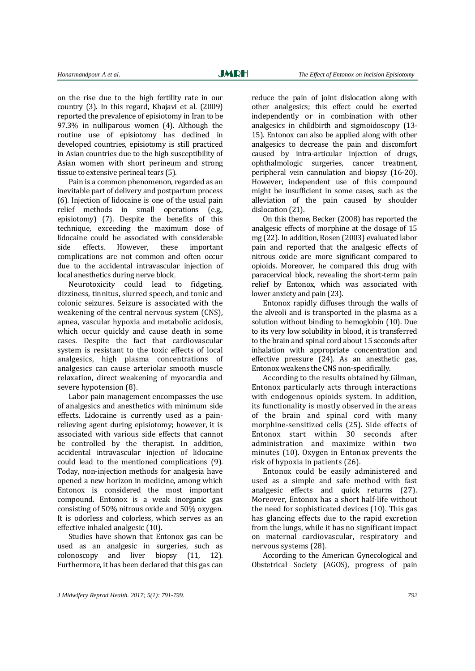on the rise due to the high fertility rate in our country (3). In this regard, Khajavi et al. (2009) reported the prevalence of episiotomy in Iran to be 97.3% in nulliparous women (4). Although the routine use of episiotomy has declined in developed countries, episiotomy is still practiced in Asian countries due to the high susceptibility of Asian women with short perineum and strong tissue to extensive perineal tears (5).

Pain is a common phenomenon, regarded as an inevitable part of delivery and postpartum process (6). Injection of lidocaine is one of the usual pain relief methods in small operations (e.g., episiotomy) (7). Despite the benefits of this technique, exceeding the maximum dose of lidocaine could be associated with considerable side effects. However, these important complications are not common and often occur due to the accidental intravascular injection of local anesthetics during nerve block.

Neurotoxicity could lead to fidgeting, dizziness, tinnitus, slurred speech, and tonic and colonic seizures. Seizure is associated with the weakening of the central nervous system (CNS), apnea, vascular hypoxia and metabolic acidosis, which occur quickly and cause death in some cases. Despite the fact that cardiovascular system is resistant to the toxic effects of local analgesics, high plasma concentrations of analgesics can cause arteriolar smooth muscle relaxation, direct weakening of myocardia and severe hypotension (8).

Labor pain management encompasses the use of analgesics and anesthetics with minimum side effects. Lidocaine is currently used as a painrelieving agent during episiotomy; however, it is associated with various side effects that cannot be controlled by the therapist. In addition, accidental intravascular injection of lidocaine could lead to the mentioned complications (9). Today, non-injection methods for analgesia have opened a new horizon in medicine, among which Entonox is considered the most important compound. Entonox is a weak inorganic gas consisting of 50% nitrous oxide and 50% oxygen. It is odorless and colorless, which serves as an effective inhaled analgesic (10).

Studies have shown that Entonox gas can be used as an analgesic in surgeries, such as colonoscopy and liver biopsy (11, 12). Furthermore, it has been declared that this gas can reduce the pain of joint dislocation along with other analgesics; this effect could be exerted independently or in combination with other analgesics in childbirth and sigmoidoscopy (13- 15). Entonox can also be applied along with other analgesics to decrease the pain and discomfort caused by intra-articular injection of drugs, ophthalmologic surgeries, cancer treatment, peripheral vein cannulation and biopsy (16-20). However, independent use of this compound might be insufficient in some cases, such as the alleviation of the pain caused by shoulder dislocation (21).

On this theme, Becker (2008) has reported the analgesic effects of morphine at the dosage of 15 mg (22). In addition, Rosen (2003) evaluated labor pain and reported that the analgesic effects of nitrous oxide are more significant compared to opioids. Moreover, he compared this drug with paracervical block, revealing the short-term pain relief by Entonox, which was associated with lower anxiety and pain (23).

Entonox rapidly diffuses through the walls of the alveoli and is transported in the plasma as a solution without binding to hemoglobin (10). Due to its very low solubility in blood, it is transferred to the brain and spinal cord about 15 seconds after inhalation with appropriate concentration and effective pressure (24). As an anesthetic gas, Entonox weakens the CNS non-specifically.

According to the results obtained by Gilman, Entonox particularly acts through interactions with endogenous opioids system. In addition, its functionality is mostly observed in the areas of the brain and spinal cord with many morphine-sensitized cells (25). Side effects of Entonox start within 30 seconds after administration and maximize within two minutes (10). Oxygen in Entonox prevents the risk of hypoxia in patients (26).

Entonox could be easily administered and used as a simple and safe method with fast analgesic effects and quick returns (27). Moreover, Entonox has a short half-life without the need for sophisticated devices (10). This gas has glancing effects due to the rapid excretion from the lungs, while it has no significant impact on maternal cardiovascular, respiratory and nervous systems (28).

According to the American Gynecological and Obstetrical Society (AGOS), progress of pain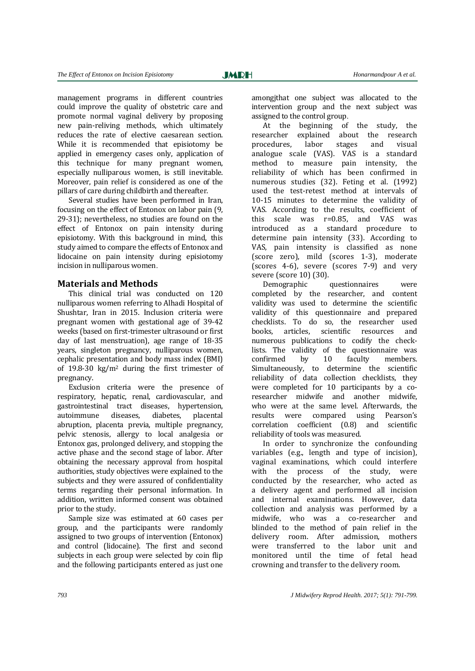management programs in different countries could improve the quality of obstetric care and promote normal vaginal delivery by proposing new pain-reliving methods, which ultimately reduces the rate of elective caesarean section. While it is recommended that episiotomy be applied in emergency cases only, application of this technique for many pregnant women, especially nulliparous women, is still inevitable. Moreover, pain relief is considered as one of the pillars of care during childbirth and thereafter.

Several studies have been performed in Iran, focusing on the effect of Entonox on labor pain (9, 29-31); nevertheless, no studies are found on the effect of Entonox on pain intensity during episiotomy. With this background in mind, this study aimed to compare the effects of Entonox and lidocaine on pain intensity during episiotomy incision in nulliparous women.

#### **Materials and Methods**

This clinical trial was conducted on 120 nulliparous women referring to Alhadi Hospital of Shushtar, Iran in 2015. Inclusion criteria were pregnant women with gestational age of 39-42 weeks (based on first-trimester ultrasound or first day of last menstruation), age range of 18-35 years, singleton pregnancy, nulliparous women, cephalic presentation and body mass index (BMI) of 19.8-30 kg/m<sup>2</sup> during the first trimester of pregnancy.

Exclusion criteria were the presence of respiratory, hepatic, renal, cardiovascular, and gastrointestinal tract diseases, hypertension, autoimmune diseases, diabetes, placental abruption, placenta previa, multiple pregnancy, pelvic stenosis, allergy to local analgesia or Entonox gas, prolonged delivery, and stopping the active phase and the second stage of labor. After obtaining the necessary approval from hospital authorities, study objectives were explained to the subjects and they were assured of confidentiality terms regarding their personal information. In addition, written informed consent was obtained prior to the study.

Sample size was estimated at 60 cases per group, and the participants were randomly assigned to two groups of intervention (Entonox) and control (lidocaine). The first and second subjects in each group were selected by coin flip and the following participants entered as just one

amongjthat one subject was allocated to the intervention group and the next subject was assigned to the control group.

At the beginning of the study, the researcher explained about the research procedures, labor stages and visual analogue scale (VAS). VAS is a standard method to measure pain intensity, the reliability of which has been confirmed in numerous studies (32). Feting et al. (1992) used the test-retest method at intervals of 10-15 minutes to determine the validity of VAS. According to the results, coefficient of this scale was r=0.85, and VAS was introduced as a standard procedure to determine pain intensity (33). According to VAS, pain intensity is classified as none (score zero), mild (scores 1-3), moderate (scores 4-6), severe (scores 7-9) and very severe (score 10) (30).

Demographic questionnaires were completed by the researcher, and content validity was used to determine the scientific validity of this questionnaire and prepared checklists. To do so, the researcher used books, articles, scientific resources and numerous publications to codify the checklists. The validity of the questionnaire was confirmed by 10 faculty members. Simultaneously, to determine the scientific reliability of data collection checklists, they were completed for 10 participants by a coresearcher midwife and another midwife, who were at the same level. Afterwards, the results were compared using Pearson's correlation coefficient (0.8) and scientific reliability of tools was measured.

In order to synchronize the confounding variables (e.g., length and type of incision), vaginal examinations, which could interfere with the process of the study, were conducted by the researcher, who acted as a delivery agent and performed all incision and internal examinations. However, data collection and analysis was performed by a midwife, who was a co-researcher and blinded to the method of pain relief in the delivery room. After admission, mothers were transferred to the labor unit and monitored until the time of fetal head crowning and transfer to the delivery room.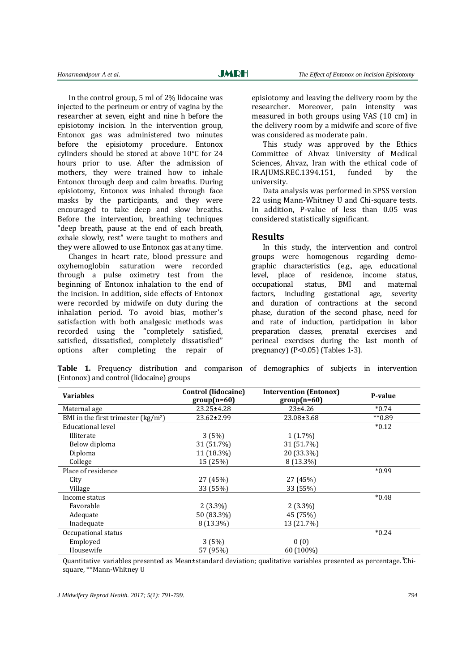In the control group, 5 ml of 2% lidocaine was injected to the perineum or entry of vagina by the researcher at seven, eight and nine h before the episiotomy incision. In the intervention group, Entonox gas was administered two minutes before the episiotomy procedure. Entonox cylinders should be stored at above 10°C for 24 hours prior to use. After the admission of mothers, they were trained how to inhale Entonox through deep and calm breaths. During episiotomy, Entonox was inhaled through face masks by the participants, and they were encouraged to take deep and slow breaths. Before the intervention, breathing techniques "deep breath, pause at the end of each breath, exhale slowly, rest" were taught to mothers and they were allowed to use Entonox gas at any time.

Changes in heart rate, blood pressure and oxyhemoglobin saturation were recorded through a pulse oximetry test from the beginning of Entonox inhalation to the end of the incision. In addition, side effects of Entonox were recorded by midwife on duty during the inhalation period. To avoid bias, mother's satisfaction with both analgesic methods was recorded using the "completely satisfied, satisfied, dissatisfied, completely dissatisfied" options after completing the repair of episiotomy and leaving the delivery room by the researcher. Moreover, pain intensity was measured in both groups using VAS (10 cm) in the delivery room by a midwife and score of five was considered as moderate pain.

This study was approved by the Ethics Committee of Ahvaz University of Medical Sciences, Ahvaz, Iran with the ethical code of IR.AJUMS.REC.1394.151, funded by the university.

Data analysis was performed in SPSS version 22 using Mann-Whitney U and Chi-square tests. In addition, P-value of less than 0.05 was considered statistically significant.

#### **Results**

In this study, the intervention and control groups were homogenous regarding demographic characteristics (e.g., age, educational level, place of residence, income status, occupational status, BMI and maternal factors, including gestational age, severity and duration of contractions at the second phase, duration of the second phase, need for and rate of induction, participation in labor preparation classes, prenatal exercises and perineal exercises during the last month of pregnancy) (P<0.05) (Tables 1-3).

**Table 1.** Frequency distribution and comparison of demographics of subjects in intervention (Entonox) and control (lidocaine) groups

| <b>Variables</b>                     | Control (lidocaine)<br>$group(n=60)$ | <b>Intervention (Entonox)</b><br>$group(n=60)$ | P-value    |
|--------------------------------------|--------------------------------------|------------------------------------------------|------------|
| Maternal age                         | 23.25±4.28                           | $23 + 4.26$                                    | $*0.74$    |
| BMI in the first trimester $(kg/m2)$ | 23.62±2.99                           | 23.08±3.68                                     | $*$ $0.89$ |
| <b>Educational level</b>             |                                      |                                                | $*0.12$    |
| Illiterate                           | 3(5%)                                | $1(1.7\%)$                                     |            |
| Below diploma                        | 31 (51.7%)                           | 31 (51.7%)                                     |            |
| Diploma                              | 11 (18.3%)                           | 20 (33.3%)                                     |            |
| College                              | 15 (25%)                             | 8 (13.3%)                                      |            |
| Place of residence                   |                                      |                                                | $*0.99$    |
| City                                 | 27 (45%)                             | 27 (45%)                                       |            |
| Village                              | 33 (55%)                             | 33 (55%)                                       |            |
| Income status                        |                                      |                                                | $*0.48$    |
| Favorable                            | $2(3.3\%)$                           | $2(3.3\%)$                                     |            |
| Adequate                             | 50 (83.3%)                           | 45 (75%)                                       |            |
| Inadequate                           | 8 (13.3%)                            | 13 (21.7%)                                     |            |
| Occupational status                  |                                      |                                                | $*0.24$    |
| Employed                             | 3(5%)                                | 0(0)                                           |            |
| Housewife                            | 57 (95%)                             | 60 (100%)                                      |            |

Quantitative variables presented as Mean±standard deviation; qualitative variables presented as percentage. \*Chisquare, \*\*Mann-Whitney U

*J Midwifery Reprod Health. 2017; 5(1): 791-799. 794*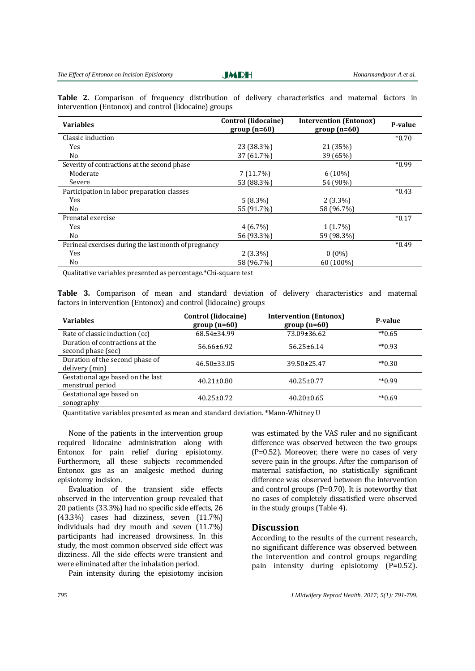**JMRH** 

**Table 2.** Comparison of frequency distribution of delivery characteristics and maternal factors in intervention (Entonox) and control (lidocaine) groups

| <b>Variables</b>                                      | <b>Control (lidocaine)</b><br>$group(n=60)$ | <b>Intervention (Entonox)</b><br>$group(n=60)$ | P-value |
|-------------------------------------------------------|---------------------------------------------|------------------------------------------------|---------|
| Classic induction                                     |                                             |                                                | $*0.70$ |
| Yes                                                   | 23 (38.3%)                                  | 21 (35%)                                       |         |
| No                                                    | 37 (61.7%)                                  | 39 (65%)                                       |         |
| Severity of contractions at the second phase          |                                             |                                                | $*0.99$ |
| Moderate                                              | 7(11.7%)                                    | $6(10\%)$                                      |         |
| Severe                                                | 53 (88.3%)                                  | 54 (90%)                                       |         |
| Participation in labor preparation classes            |                                             |                                                | $*0.43$ |
| Yes                                                   | $5(8.3\%)$                                  | $2(3.3\%)$                                     |         |
| No                                                    | 55 (91.7%)                                  | 58 (96.7%)                                     |         |
| Prenatal exercise                                     |                                             |                                                | $*0.17$ |
| Yes                                                   | $4(6.7\%)$                                  | $1(1.7\%)$                                     |         |
| No.                                                   | 56 (93.3%)                                  | 59 (98.3%)                                     |         |
| Perineal exercises during the last month of pregnancy |                                             |                                                | $*0.49$ |
| Yes                                                   | $2(3.3\%)$                                  | $0(0\%)$                                       |         |
| No.                                                   | 58 (96.7%)                                  | 60 (100%)                                      |         |
| .                                                     |                                             |                                                |         |

Qualitative variables presented as percentage.\*Chi-square test

**Table 3.** Comparison of mean and standard deviation of delivery characteristics and maternal factors in intervention (Entonox) and control (lidocaine) groups

| <b>Variables</b>                                      | Control (lidocaine)<br>$group(n=60)$ | <b>Intervention (Entonox)</b><br>$group(n=60)$ | P-value      |
|-------------------------------------------------------|--------------------------------------|------------------------------------------------|--------------|
| Rate of classic induction (cc)                        | 68.54±34.99                          | 73.09±36.62                                    | $*$ $0.65$   |
| Duration of contractions at the<br>second phase (sec) | $56.66 \pm 6.92$                     | $56.25 \pm 6.14$                               | $*$ $(0.93)$ |
| Duration of the second phase of<br>delivery (min)     | $46.50 \pm 33.05$                    | 39.50±25.47                                    | $*$ $0.30$   |
| Gestational age based on the last<br>menstrual period | $40.21 \pm 0.80$                     | $40.25 \pm 0.77$                               | $*$ $(0.99)$ |
| Gestational age based on<br>sonography                | $40.25 \pm 0.72$                     | $40.20 \pm 0.65$                               | $*$ $0.69$   |

Quantitative variables presented as mean and standard deviation. \*Mann-Whitney U

None of the patients in the intervention group required lidocaine administration along with Entonox for pain relief during episiotomy. Furthermore, all these subjects recommended Entonox gas as an analgesic method during episiotomy incision.

Evaluation of the transient side effects observed in the intervention group revealed that 20 patients (33.3%) had no specific side effects, 26 (43.3%) cases had dizziness, seven (11.7%) individuals had dry mouth and seven (11.7%) participants had increased drowsiness. In this study, the most common observed side effect was dizziness. All the side effects were transient and were eliminated after the inhalation period.

Pain intensity during the episiotomy incision

was estimated by the VAS ruler and no significant difference was observed between the two groups (P=0.52). Moreover, there were no cases of very severe pain in the groups. After the comparison of maternal satisfaction, no statistically significant difference was observed between the intervention and control groups (P=0.70). It is noteworthy that no cases of completely dissatisfied were observed in the study groups (Table 4).

#### **Discussion**

According to the results of the current research, no significant difference was observed between the intervention and control groups regarding pain intensity during episiotomy (P=0.52).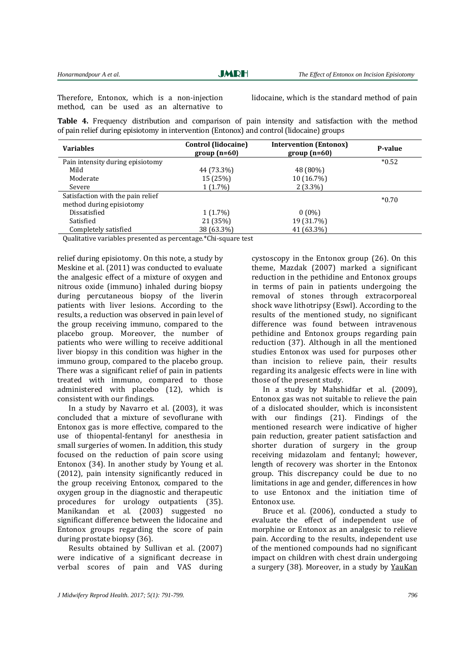**JMRH** 

Therefore, Entonox, which is a non-injection method, can be used as an alternative to

lidocaine, which is the standard method of pain

**Table 4.** Frequency distribution and comparison of pain intensity and satisfaction with the method of pain relief during episiotomy in intervention (Entonox) and control (lidocaine) groups

| <b>Variables</b>                  | Control (lidocaine)<br>$group(n=60)$ | <b>Intervention (Entonox)</b><br>$group(n=60)$ | P-value |
|-----------------------------------|--------------------------------------|------------------------------------------------|---------|
| Pain intensity during episiotomy  |                                      |                                                | $*0.52$ |
| Mild                              | 44 (73.3%)                           | 48 (80%)                                       |         |
| Moderate                          | 15 (25%)                             | 10 (16.7%)                                     |         |
| Severe                            | $1(1.7\%)$                           | $2(3.3\%)$                                     |         |
| Satisfaction with the pain relief |                                      |                                                | $*0.70$ |
| method during episiotomy          |                                      |                                                |         |
| Dissatisfied                      | $1(1.7\%)$                           | $0(0\%)$                                       |         |
| Satisfied                         | 21 (35%)                             | 19 (31.7%)                                     |         |
| Completely satisfied              | 38 (63.3%)                           | 41 (63.3%)                                     |         |

Qualitative variables presented as percentage.\*Chi-square test

relief during episiotomy. On this note, a study by Meskine et al. (2011) was conducted to evaluate the analgesic effect of a mixture of oxygen and nitrous oxide (immuno) inhaled during biopsy during percutaneous biopsy of the liverin patients with liver lesions. According to the results, a reduction was observed in pain level of the group receiving immuno, compared to the placebo group. Moreover, the number of patients who were willing to receive additional liver biopsy in this condition was higher in the immuno group, compared to the placebo group. There was a significant relief of pain in patients treated with immuno, compared to those administered with placebo (12), which is consistent with our findings.

In a study by Navarro et al. (2003), it was concluded that a mixture of sevoflurane with Entonox gas is more effective, compared to the use of thiopental-fentanyl for anesthesia in small surgeries of women. In addition, this study focused on the reduction of pain score using Entonox (34). In another study by Young et al. (2012), pain intensity significantly reduced in the group receiving Entonox, compared to the oxygen group in the diagnostic and therapeutic procedures for urology outpatients (35). Manikandan et al. (2003) suggested no significant difference between the lidocaine and Entonox groups regarding the score of pain during prostate biopsy (36).

Results obtained by Sullivan et al. (2007) were indicative of a significant decrease in verbal scores of pain and VAS during cystoscopy in the Entonox group (26). On this theme, Mazdak (2007) marked a significant reduction in the pethidine and Entonox groups in terms of pain in patients undergoing the removal of stones through extracorporeal shock wave lithotripsy (Eswl). According to the results of the mentioned study, no significant difference was found between intravenous pethidine and Entonox groups regarding pain reduction (37). Although in all the mentioned studies Entonox was used for purposes other than incision to relieve pain, their results regarding its analgesic effects were in line with those of the present study.

In a study by Mahshidfar et al. (2009), Entonox gas was not suitable to relieve the pain of a dislocated shoulder, which is inconsistent with our findings (21). Findings of the mentioned research were indicative of higher pain reduction, greater patient satisfaction and shorter duration of surgery in the group receiving midazolam and fentanyl; however, length of recovery was shorter in the Entonox group. This discrepancy could be due to no limitations in age and gender, differences in how to use Entonox and the initiation time of Entonox use.

Bruce et al. (2006), conducted a study to evaluate the effect of independent use of morphine or Entonox as an analgesic to relieve pain. According to the results, independent use of the mentioned compounds had no significant impact on children with chest drain undergoing a surgery (38). Moreover, in a study by [YauKan](http://humrep.oxfordjournals.org/search?author1=Anita+Sik+Yau+Kan&sortspec=date&submit=Submit)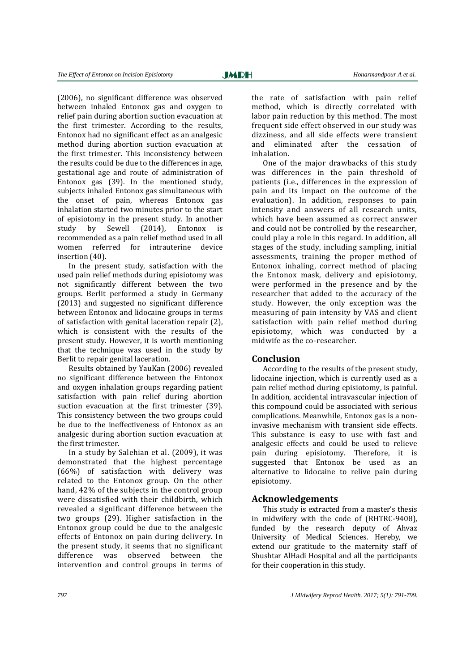(2006), no significant difference was observed between inhaled Entonox gas and oxygen to relief pain during abortion suction evacuation at the first trimester. According to the results, Entonox had no significant effect as an analgesic method during abortion suction evacuation at the first trimester. This inconsistency between the results could be due to the differences in age, gestational age and route of administration of Entonox gas (39). In the mentioned study, subjects inhaled Entonox gas simultaneous with the onset of pain, whereas Entonox gas inhalation started two minutes prior to the start of episiotomy in the present study. In another study by Sewell (2014), Entonox is recommended as a pain relief method used in all women referred for intrauterine device insertion (40).

In the present study, satisfaction with the used pain relief methods during episiotomy was not significantly different between the two groups. Berlit performed a study in Germany (2013) and suggested no significant difference between Entonox and lidocaine groups in terms of satisfaction with genital laceration repair (2), which is consistent with the results of the present study. However, it is worth mentioning that the technique was used in the study by Berlit to repair genital laceration.

Results obtained by [YauKan](http://humrep.oxfordjournals.org/search?author1=Anita+Sik+Yau+Kan&sortspec=date&submit=Submit) (2006) revealed no significant difference between the Entonox and oxygen inhalation groups regarding patient satisfaction with pain relief during abortion suction evacuation at the first trimester (39). This consistency between the two groups could be due to the ineffectiveness of Entonox as an analgesic during abortion suction evacuation at the first trimester.

In a study by Salehian et al. (2009), it was demonstrated that the highest percentage (66%) of satisfaction with delivery was related to the Entonox group. On the other hand, 42% of the subjects in the control group were dissatisfied with their childbirth, which revealed a significant difference between the two groups (29). Higher satisfaction in the Entonox group could be due to the analgesic effects of Entonox on pain during delivery. In the present study, it seems that no significant difference was observed between the intervention and control groups in terms of the rate of satisfaction with pain relief method, which is directly correlated with labor pain reduction by this method. The most frequent side effect observed in our study was dizziness, and all side effects were transient and eliminated after the cessation of inhalation.

One of the major drawbacks of this study was differences in the pain threshold of patients (i.e., differences in the expression of pain and its impact on the outcome of the evaluation). In addition, responses to pain intensity and answers of all research units, which have been assumed as correct answer and could not be controlled by the researcher, could play a role in this regard. In addition, all stages of the study, including sampling, initial assessments, training the proper method of Entonox inhaling, correct method of placing the Entonox mask, delivery and episiotomy, were performed in the presence and by the researcher that added to the accuracy of the study. However, the only exception was the measuring of pain intensity by VAS and client satisfaction with pain relief method during episiotomy, which was conducted by a midwife as the co-researcher.

#### **Conclusion**

According to the results of the present study, lidocaine injection, which is currently used as a pain relief method during episiotomy, is painful. In addition, accidental intravascular injection of this compound could be associated with serious complications. Meanwhile, Entonox gas is a noninvasive mechanism with transient side effects. This substance is easy to use with fast and analgesic effects and could be used to relieve pain during episiotomy. Therefore, it is suggested that Entonox be used as an alternative to lidocaine to relive pain during episiotomy.

#### **Acknowledgements**

This study is extracted from a master's thesis in midwifery with the code of (RHTRC-9408), funded by the research deputy of Ahvaz University of Medical Sciences. Hereby, we extend our gratitude to the maternity staff of Shushtar AlHadi Hospital and all the participants for their cooperation in this study.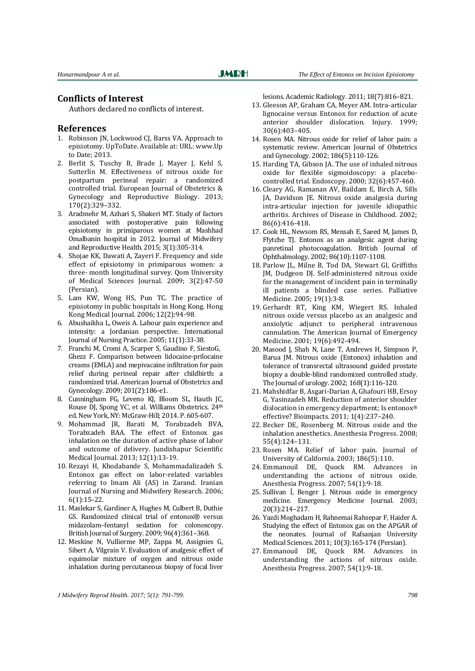#### **Conflicts of Interest**

Authors declared no conflicts of interest.

#### **References**

- 1. Robinson JN, [Lockwood CJ, Barss VA.](http://www.uptodate.com/contents/approach-to-episiotomy/contributors) Approach to episiotomy. UpToDate. Available at: URL: www.Up to Date; 2013.
- 2. Berlit S, Tuschy B, Brade J, Mayer J, Kehl S, Sutterlin M. Effectiveness of nitrous oxide for postpartum perineal repair: a randomized controlled trial. European Journal of Obstetrics & Gynecology and Reproductive Biology. 2013; 170(2):329–332.
- 3. Aradmehr M, Azhari S, Shakeri MT. Study of factors associated with postoperative pain following episiotomy in primiparous women at Mashhad Omalbanin hospital in 2012. Journal of Midwifery and Reproductive Health. 2015; 3(1):305-314.
- 4. Shojae KK, Dawati A, Zayeri F. Frequency and side effect of episiotomy in primiparous women: a three- month longitudinal survey. Qom University of Medical Sciences Journal. 2009; 3(2):47-50 (Persian).
- 5. Lam KW, Wong HS, Pun TC. The practice of episiotomy in public hospitals in Hong Kong. Hong Kong Medical Journal. 2006; 12(2):94-98.
- 6. Abushaikha L, Oweis A. Labour pain experience and intensity: a Jordanian perspective. International Journal of Nursing Practice. 2005; 11(1):33-38.
- 7. Franchi M, Cromi A, Scarper S, Gaudino F, SiestoG, Ghezz F. Comparison between lidocaine-prilocaine creams (EMLA) and mepivacaine infiltration for pain relief during perineal repair after childbirth: a randomized trial. American Journal of Obstetrics and Gynecology. 2009; 201(2):186-e1.
- 8. Cunningham FG, Leveno KJ, Bloom SL, Hauth JC, Rouse DJ, Spong YC, et al. Williams Obstetrics. 24th ed. New York, NY: McGraw-Hill; 2014. P. 605-607.
- 9. Mohammad JR, Barati M, Torabzadeh BVA, Torabzadeh BAA. The effect of Entonox gas inhalation on the duration of active phase of labor and outcome of delivery. Jundishapur Scientific Medical Journal. 2013; 12(1):13-19.
- 10. Rezayi H, Khodabande S, Mohammadalizadeh S. Entonox gas effect on labor-related variables referring to Imam Ali (AS) in Zarand. Iranian Journal of Nursing and Midwifery Research. 2006; 6(1):15-22.
- 11. Maslekar S, Gardiner A, Hughes M, Culbert B, Duthie GS. Randomized clinical trial of entonox® versus midazolam–fentanyl sedation for colonoscopy. British Journal of Surgery. 2009; 96(4):361–368.
- 12. Meskine N, Vullierme MP, Zappa M, Assignies G, Sibert A, Vilgrain V. Evaluation of analgesic effect of equimolar mixture of oxygen and nitrous oxide inhalation during percutaneous biopsy of focal liver

lesions. Academic Radiology. 2011; 18(7):816–821.

- 13. Gleeson AP, Graham CA, Meyer AM. Intra-articular lignocaine versus Entonox for reduction of acute anterior shoulder dislocation. Injury. 1999; 30(6):403–405.
- 14. [Rosen MA.](http://www.ncbi.nlm.nih.gov/pubmed/?term=Rosen%20MA%5BAuthor%5D&cauthor=true&cauthor_uid=12011877) Nitrous oxide for relief of labor pain: a systematic review. American Journal of Obstetrics and Gynecology. 2002; 186(5):110-126.
- 15. [Harding TA,](http://www.ncbi.nlm.nih.gov/pubmed/?term=Harding%20TA%5BAuthor%5D&cauthor=true&cauthor_uid=10863911) [Gibson JA.](http://www.ncbi.nlm.nih.gov/pubmed/?term=Gibson%20JA%5BAuthor%5D&cauthor=true&cauthor_uid=10863911) The use of inhaled nitrous oxide for flexible sigmoidoscopy: a placebocontrolled trial[. Endoscopy.](http://www.ncbi.nlm.nih.gov/pubmed/10863911) 2000; 32(6):457-460.
- 16. [Cleary AG,](http://www.ncbi.nlm.nih.gov/pubmed/?term=Cleary%20AG%5BAuthor%5D&cauthor=true&cauthor_uid=12023171) [Ramanan AV,](http://www.ncbi.nlm.nih.gov/pubmed/?term=Ramanan%20AV%5BAuthor%5D&cauthor=true&cauthor_uid=12023171) [Baildam E,](http://www.ncbi.nlm.nih.gov/pubmed/?term=Baildam%20E%5BAuthor%5D&cauthor=true&cauthor_uid=12023171) [Birch A,](http://www.ncbi.nlm.nih.gov/pubmed/?term=Birch%20A%5BAuthor%5D&cauthor=true&cauthor_uid=12023171) [Sills](http://www.ncbi.nlm.nih.gov/pubmed/?term=Sills%20JA%5BAuthor%5D&cauthor=true&cauthor_uid=12023171)  [JA,](http://www.ncbi.nlm.nih.gov/pubmed/?term=Sills%20JA%5BAuthor%5D&cauthor=true&cauthor_uid=12023171) [Davidson JE.](http://www.ncbi.nlm.nih.gov/pubmed/?term=Davidson%20JE%5BAuthor%5D&cauthor=true&cauthor_uid=12023171) Nitrous oxide analgesia during intra-articular injection for juvenile idiopathic arthritis. Archives of Disease in Childhood. 2002; 86(6):416-418.
- 17. [Cook HL,](http://www.ncbi.nlm.nih.gov/pubmed/?term=Cook%20HL%5BAuthor%5D&cauthor=true&cauthor_uid=12234887) [Newsom RS,](http://www.ncbi.nlm.nih.gov/pubmed/?term=Newsom%20RS%5BAuthor%5D&cauthor=true&cauthor_uid=12234887) [Mensah E,](http://www.ncbi.nlm.nih.gov/pubmed/?term=Mensah%20E%5BAuthor%5D&cauthor=true&cauthor_uid=12234887) [Saeed M,](http://www.ncbi.nlm.nih.gov/pubmed/?term=Saeed%20M%5BAuthor%5D&cauthor=true&cauthor_uid=12234887) [James D,](http://www.ncbi.nlm.nih.gov/pubmed/?term=James%20D%5BAuthor%5D&cauthor=true&cauthor_uid=12234887)  [Ffytche TJ.](http://www.ncbi.nlm.nih.gov/pubmed/?term=Ffytche%20TJ%5BAuthor%5D&cauthor=true&cauthor_uid=12234887) Entonox as an analgesic agent during panretinal photocoagulation. [British Journal of](http://www.ncbi.nlm.nih.gov/pubmed/?term=entonox++as+an+analgesic++agent++during++panretinal+photocogulation)  [Ophthalmology.](http://www.ncbi.nlm.nih.gov/pubmed/?term=entonox++as+an+analgesic++agent++during++panretinal+photocogulation) 2002; 86(10):1107-1108.
- 18. [Parlow JL,](http://www.ncbi.nlm.nih.gov/pubmed/?term=Parlow%20JL%5BAuthor%5D&cauthor=true&cauthor_uid=15690862) [Milne B,](http://www.ncbi.nlm.nih.gov/pubmed/?term=Milne%20B%5BAuthor%5D&cauthor=true&cauthor_uid=15690862) [Tod DA,](http://www.ncbi.nlm.nih.gov/pubmed/?term=Tod%20DA%5BAuthor%5D&cauthor=true&cauthor_uid=15690862) [Stewart GI,](http://www.ncbi.nlm.nih.gov/pubmed/?term=Stewart%20GI%5BAuthor%5D&cauthor=true&cauthor_uid=15690862) [Griffiths](http://www.ncbi.nlm.nih.gov/pubmed/?term=Griffiths%20JM%5BAuthor%5D&cauthor=true&cauthor_uid=15690862)  [JM,](http://www.ncbi.nlm.nih.gov/pubmed/?term=Griffiths%20JM%5BAuthor%5D&cauthor=true&cauthor_uid=15690862) [Dudgeon DJ.](http://www.ncbi.nlm.nih.gov/pubmed/?term=Dudgeon%20DJ%5BAuthor%5D&cauthor=true&cauthor_uid=15690862) Self-administered nitrous oxide for the management of incident pain in terminally ill patients a blinded case series. [Palliative](http://www.ncbi.nlm.nih.gov/pubmed/?term=self+administration++nitruos+oxide+for+the+management+of+incident++pain++in+terminaly+ill+pations)  [Medicine.](http://www.ncbi.nlm.nih.gov/pubmed/?term=self+administration++nitruos+oxide+for+the+management+of+incident++pain++in+terminaly+ill+pations) 2005; 19(1):3-8.
- 19. [Gerhardt RT,](http://www.ncbi.nlm.nih.gov/pubmed/?term=Gerhardt%20RT%5BAuthor%5D&cauthor=true&cauthor_uid=11593469) [King KM,](http://www.ncbi.nlm.nih.gov/pubmed/?term=King%20KM%5BAuthor%5D&cauthor=true&cauthor_uid=11593469) [Wiegert RS.](http://www.ncbi.nlm.nih.gov/pubmed/?term=Wiegert%20RS%5BAuthor%5D&cauthor=true&cauthor_uid=11593469) Inhaled nitrous oxide versus placebo as an analgesic and anxiolytic adjunct to peripheral intravenous cannulation. [The American Journal of Emergency](http://www.ncbi.nlm.nih.gov/pubmed/?term=inhaled+nitrous+oxide+versus+placebo+as+an+analgesic+and+anxiolytic+adjunct+to+peripheral+intravenous+cannulation)  [Medicine.](http://www.ncbi.nlm.nih.gov/pubmed/?term=inhaled+nitrous+oxide+versus+placebo+as+an+analgesic+and+anxiolytic+adjunct+to+peripheral+intravenous+cannulation) 2001; 19(6):492-494.
- 20. [Masood J,](http://www.ncbi.nlm.nih.gov/pubmed/?term=Masood%20J%5BAuthor%5D&cauthor=true&cauthor_uid=12050503) [Shah N,](http://www.ncbi.nlm.nih.gov/pubmed/?term=Shah%20N%5BAuthor%5D&cauthor=true&cauthor_uid=12050503) [Lane T,](http://www.ncbi.nlm.nih.gov/pubmed/?term=Lane%20T%5BAuthor%5D&cauthor=true&cauthor_uid=12050503) [Andrews H,](http://www.ncbi.nlm.nih.gov/pubmed/?term=Andrews%20H%5BAuthor%5D&cauthor=true&cauthor_uid=12050503) [Simpson P,](http://www.ncbi.nlm.nih.gov/pubmed/?term=Simpson%20P%5BAuthor%5D&cauthor=true&cauthor_uid=12050503)  [Barua JM.](http://www.ncbi.nlm.nih.gov/pubmed/?term=Barua%20JM%5BAuthor%5D&cauthor=true&cauthor_uid=12050503) Nitrous oxide (Entonox) inhalation and tolerance of transrectal ultrasound guided prostate biopsy a double-blind randomized controlled stud[y.](http://www.ncbi.nlm.nih.gov/pubmed/12050503) [The Journal of urology.](http://www.ncbi.nlm.nih.gov/pubmed/12050503) 2002; 168(1):116-120.
- 21. [Mahshidfar](http://www.ncbi.nlm.nih.gov/pubmed/?term=Mahshidfar%20B%5Bauth%5D) B[, Asgari-Darian](http://www.ncbi.nlm.nih.gov/pubmed/?term=Asgari-Darian%20A%5Bauth%5D) A[, Ghafouri](http://www.ncbi.nlm.nih.gov/pubmed/?term=Ghafouri%20HB%5Bauth%5D) HB[, Ersoy](http://www.ncbi.nlm.nih.gov/pubmed/?term=Ersoy%20G%5Bauth%5D) G[, Yasinzadeh](http://www.ncbi.nlm.nih.gov/pubmed/?term=Yasinzadeh%20MR%5Bauth%5D) MR. Reduction of anterior shoulder dislocation in emergency department; Is entonox® effective? Bioimpacts. 2011; 1(4):237–240.
- 22. [Becker](http://www.ncbi.nlm.nih.gov/pubmed/?term=Becker%20DE%5Bauth%5D) DE, [Rosenberg](http://www.ncbi.nlm.nih.gov/pubmed/?term=Rosenberg%20M%5Bauth%5D) M. [Nitrous oxide and the](http://www.ncbi.nlm.nih.gov/pmc/articles/PMC2614651/)  [inhalation anesthetics.](http://www.ncbi.nlm.nih.gov/pmc/articles/PMC2614651/) Anesthesia Progress. 2008; 55(4):124–131.
- 23. Rosen MA. Relief of labor pain. Journal of University of California. 2003; 186(5):110.
- 24. Emmanouil DE, Quock RM. Advances in understanding the actions of nitrous oxide. Anesthesia Progress. 2007; 54(1):9-18.
- 25. Sullivan Í, Benger J. Nitrous oxide in emergency medicine. Emergency Medicine Journal. 2003; 20(3):214–217.
- 26. Yazdi Moghadam H, Rahnemai Rahsepar F, Haider A. Studying the effect of Entonox gas on the APGAR of the neonates. Journal of Rafsanjan University Medical Sciences. 2011; 10(3):165-174 (Persian).
- 27. Emmanouil DE, Quock RM. Advances in understanding the actions of nitrous oxide. Anesthesia Progress. 2007; 54(1):9-18.

*J Midwifery Reprod Health. 2017; 5(1): 791-799. 798*